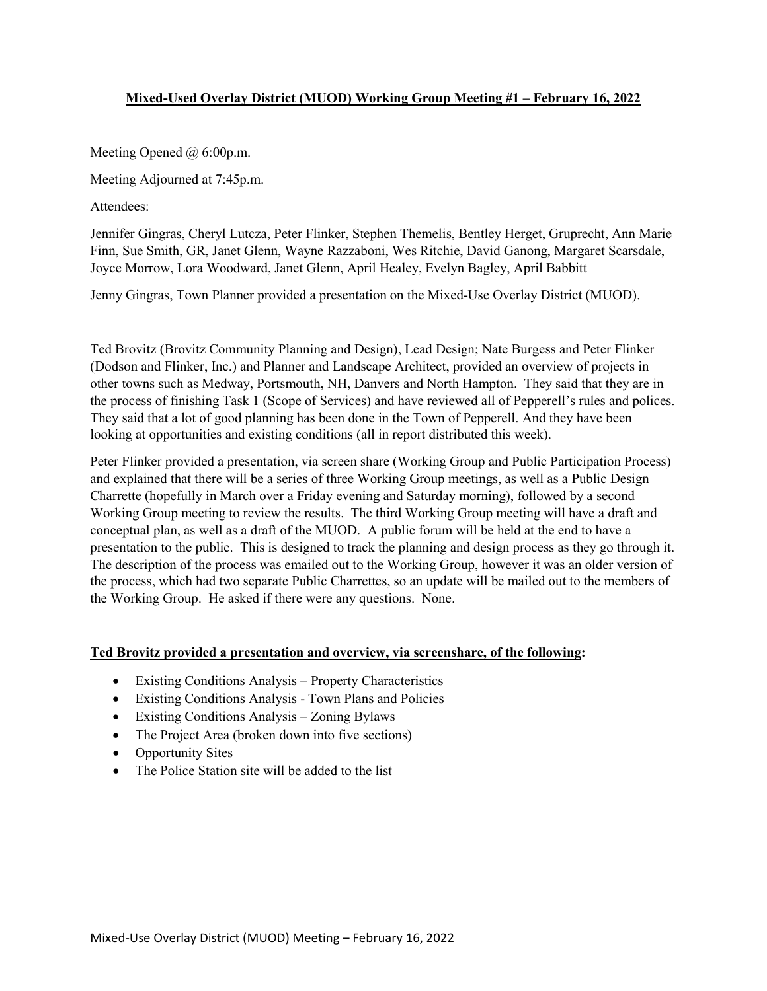# **Mixed-Used Overlay District (MUOD) Working Group Meeting #1 – February 16, 2022**

Meeting Opened @ 6:00p.m.

Meeting Adjourned at 7:45p.m.

Attendees:

Jennifer Gingras, Cheryl Lutcza, Peter Flinker, Stephen Themelis, Bentley Herget, Gruprecht, Ann Marie Finn, Sue Smith, GR, Janet Glenn, Wayne Razzaboni, Wes Ritchie, David Ganong, Margaret Scarsdale, Joyce Morrow, Lora Woodward, Janet Glenn, April Healey, Evelyn Bagley, April Babbitt

Jenny Gingras, Town Planner provided a presentation on the Mixed-Use Overlay District (MUOD).

Ted Brovitz (Brovitz Community Planning and Design), Lead Design; Nate Burgess and Peter Flinker (Dodson and Flinker, Inc.) and Planner and Landscape Architect, provided an overview of projects in other towns such as Medway, Portsmouth, NH, Danvers and North Hampton. They said that they are in the process of finishing Task 1 (Scope of Services) and have reviewed all of Pepperell's rules and polices. They said that a lot of good planning has been done in the Town of Pepperell. And they have been looking at opportunities and existing conditions (all in report distributed this week).

Peter Flinker provided a presentation, via screen share (Working Group and Public Participation Process) and explained that there will be a series of three Working Group meetings, as well as a Public Design Charrette (hopefully in March over a Friday evening and Saturday morning), followed by a second Working Group meeting to review the results. The third Working Group meeting will have a draft and conceptual plan, as well as a draft of the MUOD. A public forum will be held at the end to have a presentation to the public. This is designed to track the planning and design process as they go through it. The description of the process was emailed out to the Working Group, however it was an older version of the process, which had two separate Public Charrettes, so an update will be mailed out to the members of the Working Group. He asked if there were any questions. None.

### **Ted Brovitz provided a presentation and overview, via screenshare, of the following:**

- Existing Conditions Analysis Property Characteristics
- Existing Conditions Analysis Town Plans and Policies
- Existing Conditions Analysis Zoning Bylaws
- The Project Area (broken down into five sections)
- Opportunity Sites
- The Police Station site will be added to the list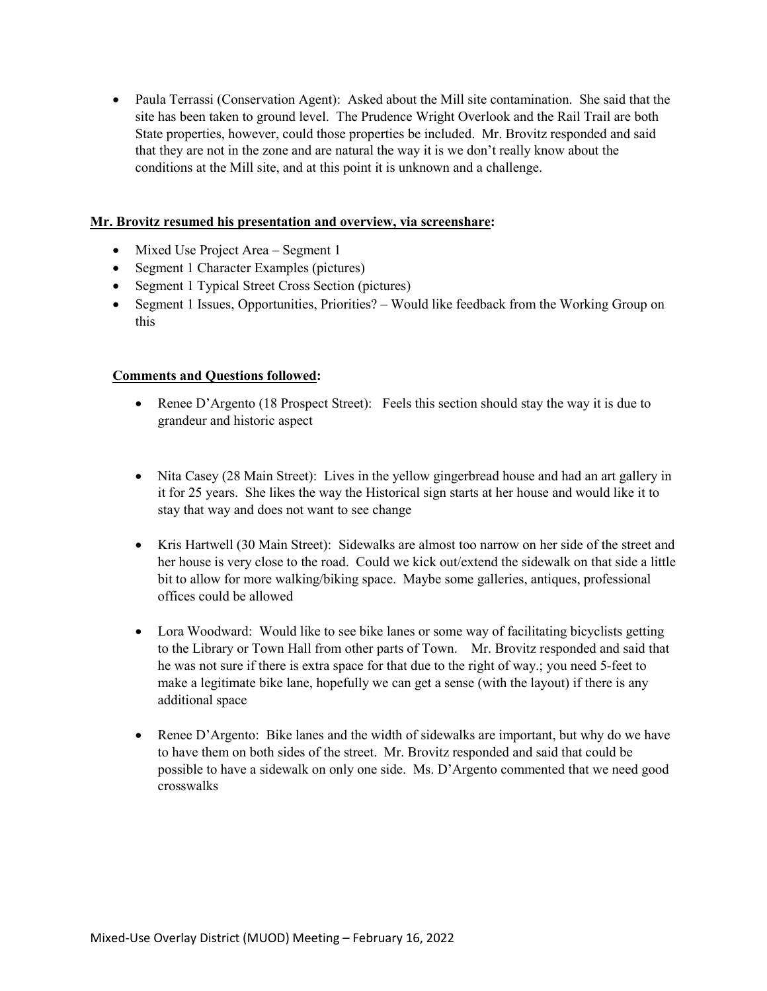• Paula Terrassi (Conservation Agent): Asked about the Mill site contamination. She said that the site has been taken to ground level. The Prudence Wright Overlook and the Rail Trail are both State properties, however, could those properties be included. Mr. Brovitz responded and said that they are not in the zone and are natural the way it is we don't really know about the conditions at the Mill site, and at this point it is unknown and a challenge.

#### **Mr. Brovitz resumed his presentation and overview, via screenshare:**

- Mixed Use Project Area Segment 1
- Segment 1 Character Examples (pictures)
- Segment 1 Typical Street Cross Section (pictures)
- Segment 1 Issues, Opportunities, Priorities? Would like feedback from the Working Group on this

### **Comments and Questions followed:**

- Renee D'Argento (18 Prospect Street): Feels this section should stay the way it is due to grandeur and historic aspect
- Nita Casey (28 Main Street): Lives in the yellow gingerbread house and had an art gallery in it for 25 years. She likes the way the Historical sign starts at her house and would like it to stay that way and does not want to see change
- Kris Hartwell (30 Main Street): Sidewalks are almost too narrow on her side of the street and her house is very close to the road. Could we kick out/extend the sidewalk on that side a little bit to allow for more walking/biking space. Maybe some galleries, antiques, professional offices could be allowed
- Lora Woodward: Would like to see bike lanes or some way of facilitating bicyclists getting to the Library or Town Hall from other parts of Town. Mr. Brovitz responded and said that he was not sure if there is extra space for that due to the right of way.; you need 5-feet to make a legitimate bike lane, hopefully we can get a sense (with the layout) if there is any additional space
- Renee D'Argento: Bike lanes and the width of sidewalks are important, but why do we have to have them on both sides of the street. Mr. Brovitz responded and said that could be possible to have a sidewalk on only one side. Ms. D'Argento commented that we need good crosswalks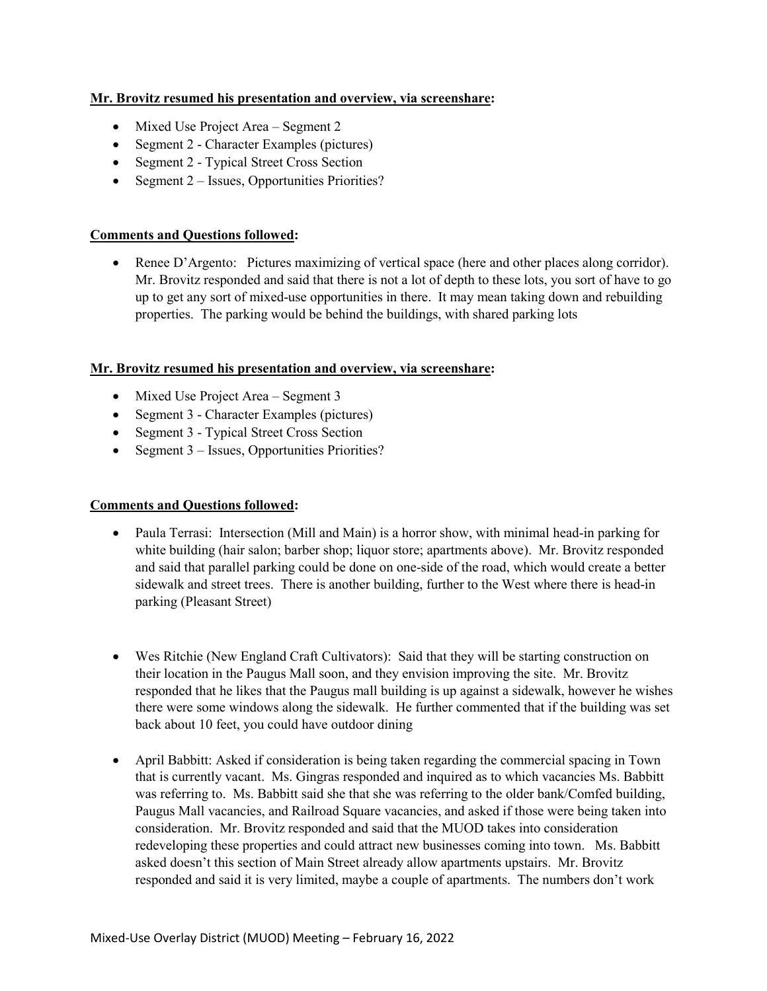## **Mr. Brovitz resumed his presentation and overview, via screenshare:**

- Mixed Use Project Area Segment 2
- Segment 2 Character Examples (pictures)
- Segment 2 Typical Street Cross Section
- Segment 2 Issues, Opportunities Priorities?

## **Comments and Questions followed:**

• Renee D'Argento: Pictures maximizing of vertical space (here and other places along corridor). Mr. Brovitz responded and said that there is not a lot of depth to these lots, you sort of have to go up to get any sort of mixed-use opportunities in there. It may mean taking down and rebuilding properties. The parking would be behind the buildings, with shared parking lots

## **Mr. Brovitz resumed his presentation and overview, via screenshare:**

- Mixed Use Project Area Segment 3
- Segment 3 Character Examples (pictures)
- Segment 3 Typical Street Cross Section
- Segment 3 Issues, Opportunities Priorities?

### **Comments and Questions followed:**

- Paula Terrasi: Intersection (Mill and Main) is a horror show, with minimal head-in parking for white building (hair salon; barber shop; liquor store; apartments above). Mr. Brovitz responded and said that parallel parking could be done on one-side of the road, which would create a better sidewalk and street trees. There is another building, further to the West where there is head-in parking (Pleasant Street)
- Wes Ritchie (New England Craft Cultivators): Said that they will be starting construction on their location in the Paugus Mall soon, and they envision improving the site. Mr. Brovitz responded that he likes that the Paugus mall building is up against a sidewalk, however he wishes there were some windows along the sidewalk. He further commented that if the building was set back about 10 feet, you could have outdoor dining
- April Babbitt: Asked if consideration is being taken regarding the commercial spacing in Town that is currently vacant. Ms. Gingras responded and inquired as to which vacancies Ms. Babbitt was referring to. Ms. Babbitt said she that she was referring to the older bank/Comfed building, Paugus Mall vacancies, and Railroad Square vacancies, and asked if those were being taken into consideration. Mr. Brovitz responded and said that the MUOD takes into consideration redeveloping these properties and could attract new businesses coming into town. Ms. Babbitt asked doesn't this section of Main Street already allow apartments upstairs. Mr. Brovitz responded and said it is very limited, maybe a couple of apartments. The numbers don't work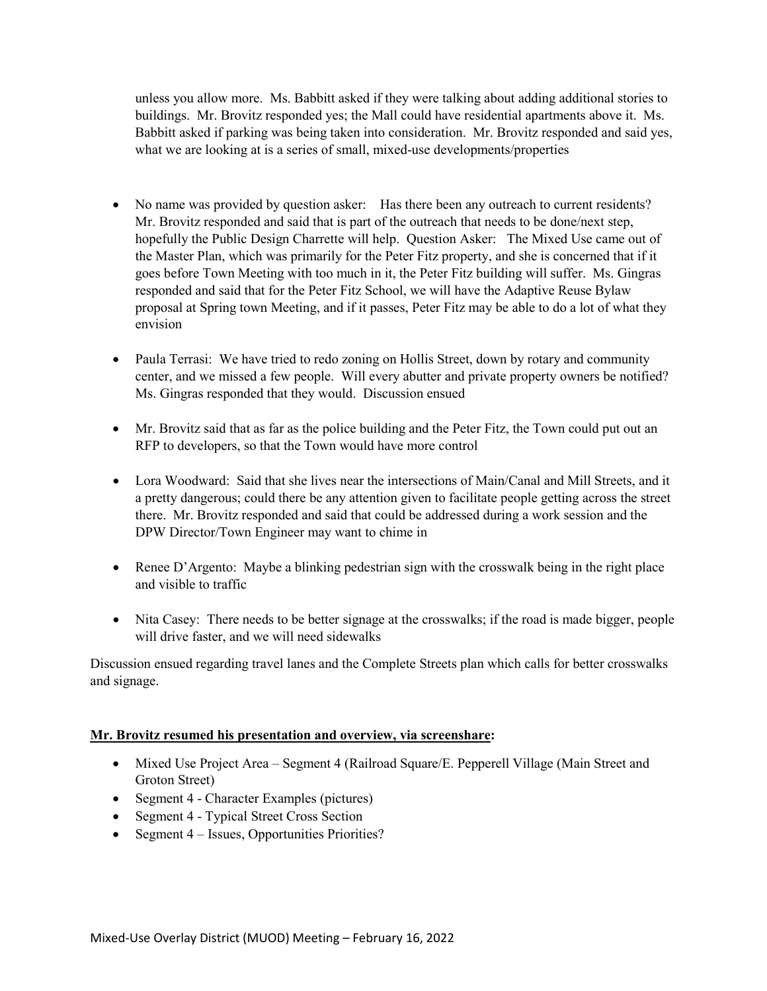unless you allow more. Ms. Babbitt asked if they were talking about adding additional stories to buildings. Mr. Brovitz responded yes; the Mall could have residential apartments above it. Ms. Babbitt asked if parking was being taken into consideration. Mr. Brovitz responded and said yes, what we are looking at is a series of small, mixed-use developments/properties

- No name was provided by question asker: Has there been any outreach to current residents? Mr. Brovitz responded and said that is part of the outreach that needs to be done/next step, hopefully the Public Design Charrette will help. Question Asker: The Mixed Use came out of the Master Plan, which was primarily for the Peter Fitz property, and she is concerned that if it goes before Town Meeting with too much in it, the Peter Fitz building will suffer. Ms. Gingras responded and said that for the Peter Fitz School, we will have the Adaptive Reuse Bylaw proposal at Spring town Meeting, and if it passes, Peter Fitz may be able to do a lot of what they envision
- Paula Terrasi: We have tried to redo zoning on Hollis Street, down by rotary and community center, and we missed a few people. Will every abutter and private property owners be notified? Ms. Gingras responded that they would. Discussion ensued
- Mr. Brovitz said that as far as the police building and the Peter Fitz, the Town could put out an RFP to developers, so that the Town would have more control
- Lora Woodward: Said that she lives near the intersections of Main/Canal and Mill Streets, and it a pretty dangerous; could there be any attention given to facilitate people getting across the street there. Mr. Brovitz responded and said that could be addressed during a work session and the DPW Director/Town Engineer may want to chime in
- Renee D'Argento: Maybe a blinking pedestrian sign with the crosswalk being in the right place and visible to traffic
- Nita Casey: There needs to be better signage at the crosswalks; if the road is made bigger, people will drive faster, and we will need sidewalks

Discussion ensued regarding travel lanes and the Complete Streets plan which calls for better crosswalks and signage.

# **Mr. Brovitz resumed his presentation and overview, via screenshare:**

- Mixed Use Project Area Segment 4 (Railroad Square/E. Pepperell Village (Main Street and Groton Street)
- Segment 4 Character Examples (pictures)
- Segment 4 Typical Street Cross Section
- Segment 4 Issues, Opportunities Priorities?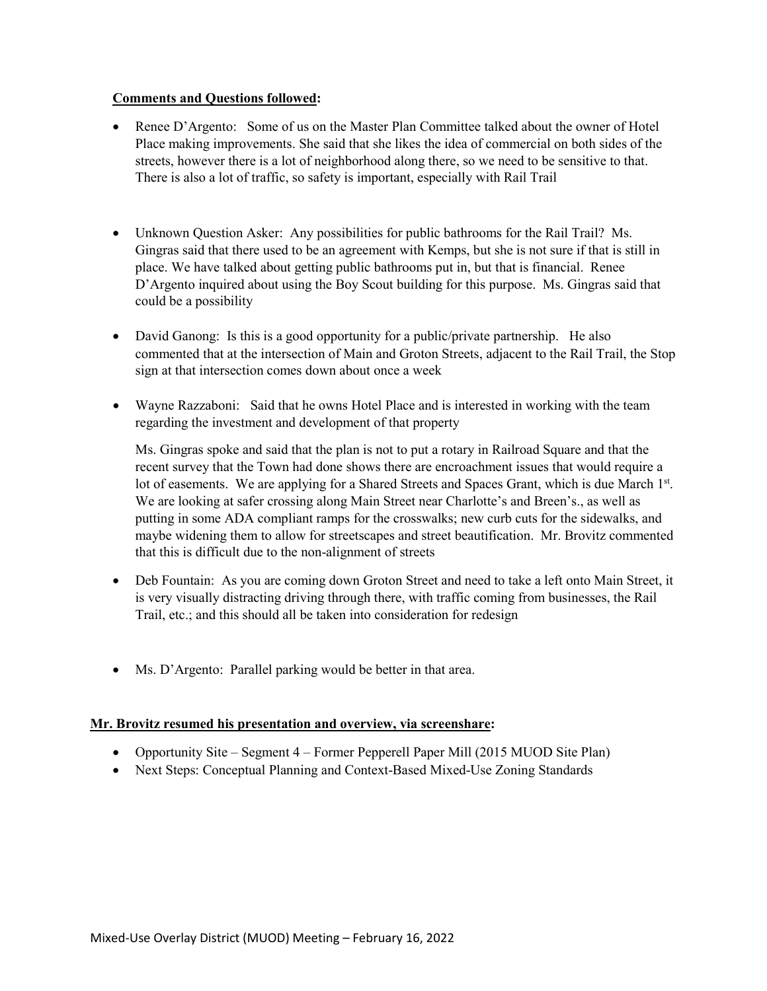### **Comments and Questions followed:**

- Renee D'Argento: Some of us on the Master Plan Committee talked about the owner of Hotel Place making improvements. She said that she likes the idea of commercial on both sides of the streets, however there is a lot of neighborhood along there, so we need to be sensitive to that. There is also a lot of traffic, so safety is important, especially with Rail Trail
- Unknown Question Asker: Any possibilities for public bathrooms for the Rail Trail? Ms. Gingras said that there used to be an agreement with Kemps, but she is not sure if that is still in place. We have talked about getting public bathrooms put in, but that is financial. Renee D'Argento inquired about using the Boy Scout building for this purpose. Ms. Gingras said that could be a possibility
- David Ganong: Is this is a good opportunity for a public/private partnership. He also commented that at the intersection of Main and Groton Streets, adjacent to the Rail Trail, the Stop sign at that intersection comes down about once a week
- Wayne Razzaboni: Said that he owns Hotel Place and is interested in working with the team regarding the investment and development of that property

Ms. Gingras spoke and said that the plan is not to put a rotary in Railroad Square and that the recent survey that the Town had done shows there are encroachment issues that would require a lot of easements. We are applying for a Shared Streets and Spaces Grant, which is due March 1<sup>st</sup>. We are looking at safer crossing along Main Street near Charlotte's and Breen's., as well as putting in some ADA compliant ramps for the crosswalks; new curb cuts for the sidewalks, and maybe widening them to allow for streetscapes and street beautification. Mr. Brovitz commented that this is difficult due to the non-alignment of streets

- Deb Fountain: As you are coming down Groton Street and need to take a left onto Main Street, it is very visually distracting driving through there, with traffic coming from businesses, the Rail Trail, etc.; and this should all be taken into consideration for redesign
- Ms. D'Argento: Parallel parking would be better in that area.

### **Mr. Brovitz resumed his presentation and overview, via screenshare:**

- Opportunity Site Segment 4 Former Pepperell Paper Mill (2015 MUOD Site Plan)
- Next Steps: Conceptual Planning and Context-Based Mixed-Use Zoning Standards